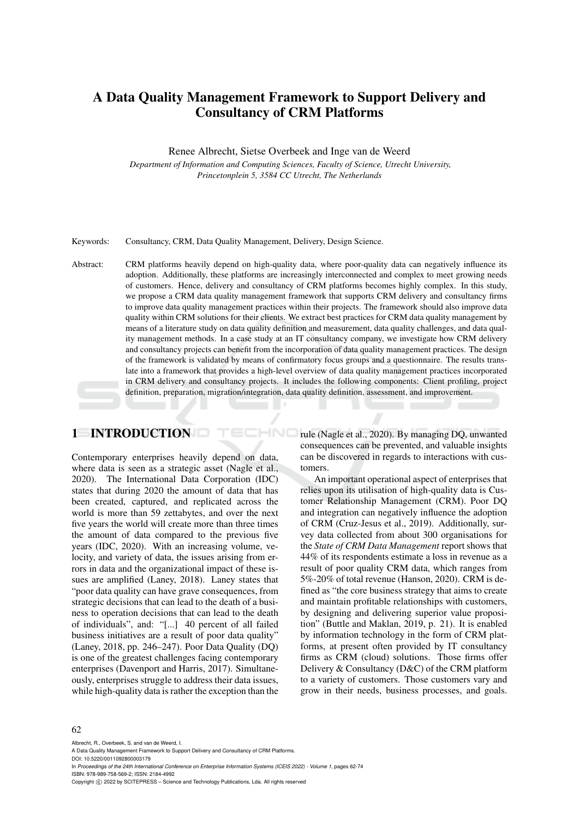# A Data Quality Management Framework to Support Delivery and Consultancy of CRM Platforms

#### Renee Albrecht, Sietse Overbeek and Inge van de Weerd

*Department of Information and Computing Sciences, Faculty of Science, Utrecht University, Princetonplein 5, 3584 CC Utrecht, The Netherlands*

Keywords: Consultancy, CRM, Data Quality Management, Delivery, Design Science.

Abstract: CRM platforms heavily depend on high-quality data, where poor-quality data can negatively influence its adoption. Additionally, these platforms are increasingly interconnected and complex to meet growing needs of customers. Hence, delivery and consultancy of CRM platforms becomes highly complex. In this study, we propose a CRM data quality management framework that supports CRM delivery and consultancy firms to improve data quality management practices within their projects. The framework should also improve data quality within CRM solutions for their clients. We extract best practices for CRM data quality management by means of a literature study on data quality definition and measurement, data quality challenges, and data quality management methods. In a case study at an IT consultancy company, we investigate how CRM delivery and consultancy projects can benefit from the incorporation of data quality management practices. The design of the framework is validated by means of confirmatory focus groups and a questionnaire. The results translate into a framework that provides a high-level overview of data quality management practices incorporated in CRM delivery and consultancy projects. It includes the following components: Client profiling, project definition, preparation, migration/integration, data quality definition, assessment, and improvement.

HNC

## 1 INTRODUCTION

Contemporary enterprises heavily depend on data, where data is seen as a strategic asset (Nagle et al., 2020). The International Data Corporation (IDC) states that during 2020 the amount of data that has been created, captured, and replicated across the world is more than 59 zettabytes, and over the next five years the world will create more than three times the amount of data compared to the previous five years (IDC, 2020). With an increasing volume, velocity, and variety of data, the issues arising from errors in data and the organizational impact of these issues are amplified (Laney, 2018). Laney states that "poor data quality can have grave consequences, from strategic decisions that can lead to the death of a business to operation decisions that can lead to the death of individuals", and: "[...] 40 percent of all failed business initiatives are a result of poor data quality" (Laney, 2018, pp. 246–247). Poor Data Quality (DQ) is one of the greatest challenges facing contemporary enterprises (Davenport and Harris, 2017). Simultaneously, enterprises struggle to address their data issues, while high-quality data is rather the exception than the

rule (Nagle et al., 2020). By managing DQ, unwanted consequences can be prevented, and valuable insights can be discovered in regards to interactions with customers.

An important operational aspect of enterprises that relies upon its utilisation of high-quality data is Customer Relationship Management (CRM). Poor DQ and integration can negatively influence the adoption of CRM (Cruz-Jesus et al., 2019). Additionally, survey data collected from about 300 organisations for the *State of CRM Data Management* report shows that 44% of its respondents estimate a loss in revenue as a result of poor quality CRM data, which ranges from 5%-20% of total revenue (Hanson, 2020). CRM is defined as "the core business strategy that aims to create and maintain profitable relationships with customers, by designing and delivering superior value proposition" (Buttle and Maklan, 2019, p. 21). It is enabled by information technology in the form of CRM platforms, at present often provided by IT consultancy firms as CRM (cloud) solutions. Those firms offer Delivery & Consultancy (D&C) of the CRM platform to a variety of customers. Those customers vary and grow in their needs, business processes, and goals.

#### 62

Albrecht, R., Overbeek, S. and van de Weerd, I.

DOI: 10.5220/0011092800003179

In *Proceedings of the 24th International Conference on Enterprise Information Systems (ICEIS 2022) - Volume 1*, pages 62-74 ISBN: 978-989-758-569-2; ISSN: 2184-4992

A Data Quality Management Framework to Support Delivery and Consultancy of CRM Platforms.

Copyright (C) 2022 by SCITEPRESS - Science and Technology Publications, Lda. All rights reserved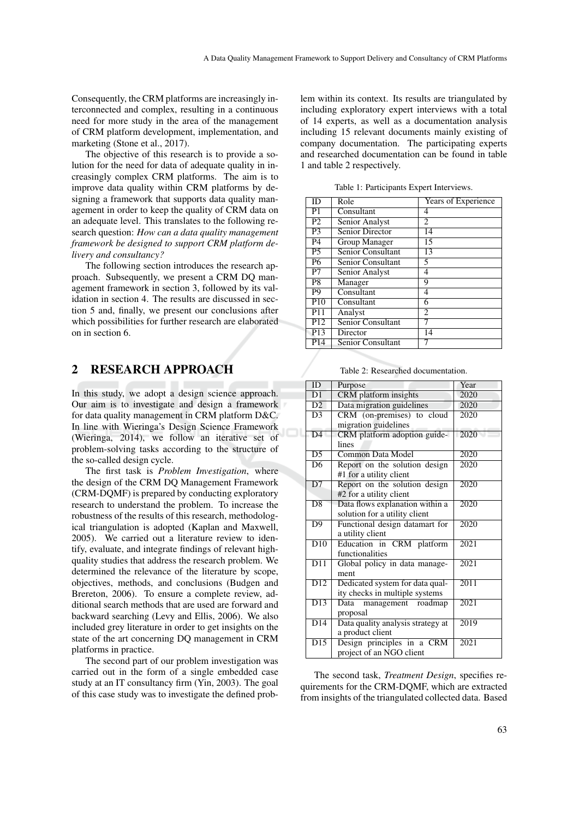Consequently, the CRM platforms are increasingly interconnected and complex, resulting in a continuous need for more study in the area of the management of CRM platform development, implementation, and marketing (Stone et al., 2017).

The objective of this research is to provide a solution for the need for data of adequate quality in increasingly complex CRM platforms. The aim is to improve data quality within CRM platforms by designing a framework that supports data quality management in order to keep the quality of CRM data on an adequate level. This translates to the following research question: *How can a data quality management framework be designed to support CRM platform delivery and consultancy?*

The following section introduces the research approach. Subsequently, we present a CRM DQ management framework in section 3, followed by its validation in section 4. The results are discussed in section 5 and, finally, we present our conclusions after which possibilities for further research are elaborated on in section 6.

## 2 RESEARCH APPROACH

In this study, we adopt a design science approach. Our aim is to investigate and design a framework for data quality management in CRM platform D&C. In line with Wieringa's Design Science Framework (Wieringa, 2014), we follow an iterative set of problem-solving tasks according to the structure of the so-called design cycle.

The first task is *Problem Investigation*, where the design of the CRM DQ Management Framework (CRM-DQMF) is prepared by conducting exploratory research to understand the problem. To increase the robustness of the results of this research, methodological triangulation is adopted (Kaplan and Maxwell, 2005). We carried out a literature review to identify, evaluate, and integrate findings of relevant highquality studies that address the research problem. We determined the relevance of the literature by scope, objectives, methods, and conclusions (Budgen and Brereton, 2006). To ensure a complete review, additional search methods that are used are forward and backward searching (Levy and Ellis, 2006). We also included grey literature in order to get insights on the state of the art concerning DQ management in CRM platforms in practice.

The second part of our problem investigation was carried out in the form of a single embedded case study at an IT consultancy firm (Yin, 2003). The goal of this case study was to investigate the defined prob-

lem within its context. Its results are triangulated by including exploratory expert interviews with a total of 14 experts, as well as a documentation analysis including 15 relevant documents mainly existing of company documentation. The participating experts and researched documentation can be found in table 1 and table 2 respectively.

| ID              | Role                   | Years of Experience |
|-----------------|------------------------|---------------------|
| P1              | Consultant             | 4                   |
| P <sub>2</sub>  | Senior Analyst         | 2                   |
| P <sub>3</sub>  | <b>Senior Director</b> | 14                  |
| P <sub>4</sub>  | Group Manager          | 15                  |
| P <sub>5</sub>  | Senior Consultant      | 13                  |
| <b>P6</b>       | Senior Consultant      | 5                   |
| P7              | Senior Analyst         | 4                   |
| P <sub>8</sub>  | Manager                | 9                   |
| P <sub>9</sub>  | Consultant             | 4                   |
| P10             | Consultant             | 6                   |
| P <sub>11</sub> | Analyst                | $\overline{c}$      |
| P <sub>12</sub> | Senior Consultant      |                     |
| P <sub>13</sub> | Director               | 14                  |
| P <sub>14</sub> | Senior Consultant      | 7                   |

Table 1: Participants Expert Interviews.

Table 2: Researched documentation.

| $\overline{ID}$          | Purpose                           | Year              |
|--------------------------|-----------------------------------|-------------------|
| $\overline{D1}$          | <b>CRM</b> platform insights      | 2020              |
| D2                       | Data migration guidelines         | 2020              |
| $\overline{D3}$          | CRM (on-premises) to cloud        | $\overline{2020}$ |
|                          | migration guidelines              |                   |
| $\overline{D4}$          | CRM platform adoption guide-      | 2020              |
|                          | lines                             |                   |
| D <sub>5</sub>           | Common Data Model                 | 2020              |
| $\overline{\mathrm{D6}}$ | Report on the solution design     | 2020              |
|                          | #1 for a utility client           |                   |
| $\overline{D7}$          | Report on the solution design     | 2020              |
|                          | #2 for a utility client           |                   |
| $\overline{D8}$          | Data flows explanation within a   | 2020              |
|                          | solution for a utility client     |                   |
| $\overline{D9}$          | Functional design datamart for    | 2020              |
|                          | a utility client                  |                   |
| $\overline{D10}$         | Education in CRM platform         | 2021              |
|                          | functionalities                   |                   |
| $\overline{D11}$         | Global policy in data manage-     | 2021              |
|                          | ment                              |                   |
| $\overline{D12}$         | Dedicated system for data qual-   | 2011              |
|                          | ity checks in multiple systems    |                   |
| $\overline{D13}$         | management roadmap<br>Data        | 2021              |
|                          | proposal                          |                   |
| $\overline{D14}$         | Data quality analysis strategy at | 2019              |
|                          | a product client                  |                   |
| $\overline{D15}$         | Design principles in a CRM        | 2021              |
|                          | project of an NGO client          |                   |

The second task, *Treatment Design*, specifies requirements for the CRM-DQMF, which are extracted from insights of the triangulated collected data. Based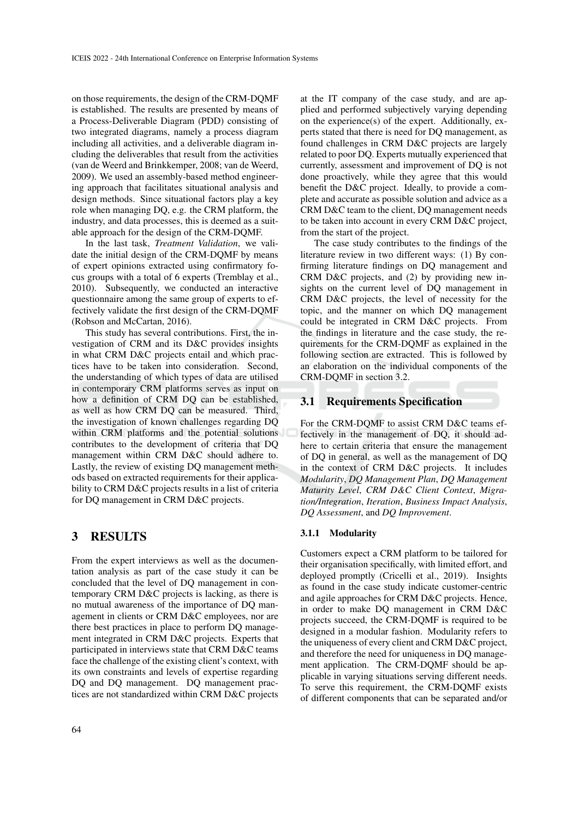on those requirements, the design of the CRM-DQMF is established. The results are presented by means of a Process-Deliverable Diagram (PDD) consisting of two integrated diagrams, namely a process diagram including all activities, and a deliverable diagram including the deliverables that result from the activities (van de Weerd and Brinkkemper, 2008; van de Weerd, 2009). We used an assembly-based method engineering approach that facilitates situational analysis and design methods. Since situational factors play a key role when managing DQ, e.g. the CRM platform, the industry, and data processes, this is deemed as a suitable approach for the design of the CRM-DQMF.

In the last task, *Treatment Validation*, we validate the initial design of the CRM-DQMF by means of expert opinions extracted using confirmatory focus groups with a total of 6 experts (Tremblay et al., 2010). Subsequently, we conducted an interactive questionnaire among the same group of experts to effectively validate the first design of the CRM-DQMF (Robson and McCartan, 2016).

This study has several contributions. First, the investigation of CRM and its D&C provides insights in what CRM D&C projects entail and which practices have to be taken into consideration. Second, the understanding of which types of data are utilised in contemporary CRM platforms serves as input on how a definition of CRM DQ can be established, as well as how CRM DQ can be measured. Third, the investigation of known challenges regarding DQ within CRM platforms and the potential solutions contributes to the development of criteria that DQ management within CRM D&C should adhere to. Lastly, the review of existing DQ management methods based on extracted requirements for their applicability to CRM D&C projects results in a list of criteria for DQ management in CRM D&C projects.

## 3 RESULTS

From the expert interviews as well as the documentation analysis as part of the case study it can be concluded that the level of DQ management in contemporary CRM D&C projects is lacking, as there is no mutual awareness of the importance of DQ management in clients or CRM D&C employees, nor are there best practices in place to perform DQ management integrated in CRM D&C projects. Experts that participated in interviews state that CRM D&C teams face the challenge of the existing client's context, with its own constraints and levels of expertise regarding DQ and DQ management. DQ management practices are not standardized within CRM D&C projects

at the IT company of the case study, and are applied and performed subjectively varying depending on the experience(s) of the expert. Additionally, experts stated that there is need for DQ management, as found challenges in CRM D&C projects are largely related to poor DQ. Experts mutually experienced that currently, assessment and improvement of DQ is not done proactively, while they agree that this would benefit the D&C project. Ideally, to provide a complete and accurate as possible solution and advice as a CRM D&C team to the client, DQ management needs to be taken into account in every CRM D&C project, from the start of the project.

The case study contributes to the findings of the literature review in two different ways: (1) By confirming literature findings on DQ management and CRM D&C projects, and (2) by providing new insights on the current level of DQ management in CRM D&C projects, the level of necessity for the topic, and the manner on which DQ management could be integrated in CRM D&C projects. From the findings in literature and the case study, the requirements for the CRM-DQMF as explained in the following section are extracted. This is followed by an elaboration on the individual components of the CRM-DQMF in section 3.2.

## 3.1 Requirements Specification

For the CRM-DQMF to assist CRM D&C teams effectively in the management of DQ, it should adhere to certain criteria that ensure the management of DQ in general, as well as the management of DQ in the context of CRM D&C projects. It includes *Modularity*, *DQ Management Plan*, *DQ Management Maturity Level*, *CRM D&C Client Context*, *Migration/Integration*, *Iteration*, *Business Impact Analysis*, *DQ Assessment*, and *DQ Improvement*.

### 3.1.1 Modularity

Customers expect a CRM platform to be tailored for their organisation specifically, with limited effort, and deployed promptly (Cricelli et al., 2019). Insights as found in the case study indicate customer-centric and agile approaches for CRM D&C projects. Hence, in order to make DQ management in CRM D&C projects succeed, the CRM-DQMF is required to be designed in a modular fashion. Modularity refers to the uniqueness of every client and CRM D&C project, and therefore the need for uniqueness in DQ management application. The CRM-DQMF should be applicable in varying situations serving different needs. To serve this requirement, the CRM-DQMF exists of different components that can be separated and/or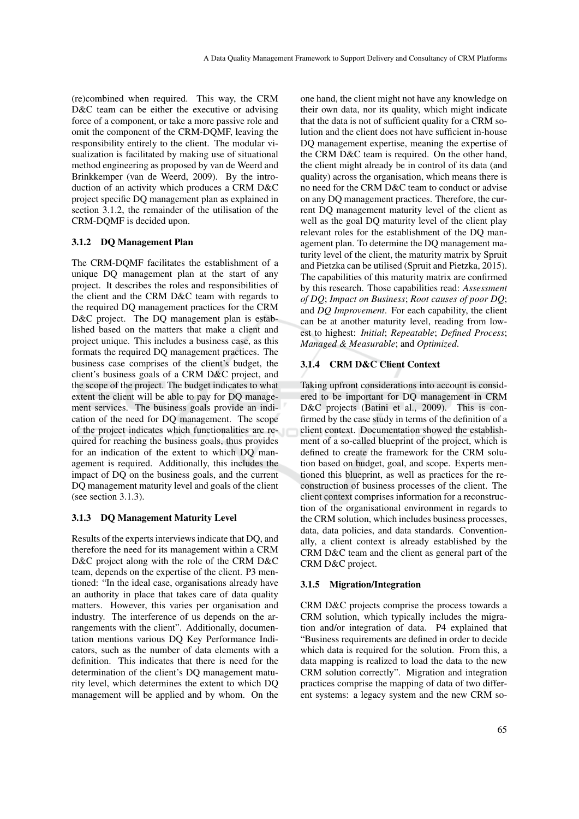(re)combined when required. This way, the CRM D&C team can be either the executive or advising force of a component, or take a more passive role and omit the component of the CRM-DQMF, leaving the responsibility entirely to the client. The modular visualization is facilitated by making use of situational method engineering as proposed by van de Weerd and Brinkkemper (van de Weerd, 2009). By the introduction of an activity which produces a CRM D&C project specific DQ management plan as explained in section 3.1.2, the remainder of the utilisation of the CRM-DQMF is decided upon.

## 3.1.2 DQ Management Plan

The CRM-DQMF facilitates the establishment of a unique DQ management plan at the start of any project. It describes the roles and responsibilities of the client and the CRM D&C team with regards to the required DQ management practices for the CRM D&C project. The DQ management plan is established based on the matters that make a client and project unique. This includes a business case, as this formats the required DQ management practices. The business case comprises of the client's budget, the client's business goals of a CRM D&C project, and the scope of the project. The budget indicates to what extent the client will be able to pay for DQ management services. The business goals provide an indication of the need for DQ management. The scope of the project indicates which functionalities are required for reaching the business goals, thus provides for an indication of the extent to which DQ management is required. Additionally, this includes the impact of DQ on the business goals, and the current DQ management maturity level and goals of the client (see section 3.1.3).

### 3.1.3 DQ Management Maturity Level

Results of the experts interviews indicate that DQ, and therefore the need for its management within a CRM D&C project along with the role of the CRM D&C team, depends on the expertise of the client. P3 mentioned: "In the ideal case, organisations already have an authority in place that takes care of data quality matters. However, this varies per organisation and industry. The interference of us depends on the arrangements with the client". Additionally, documentation mentions various DQ Key Performance Indicators, such as the number of data elements with a definition. This indicates that there is need for the determination of the client's DQ management maturity level, which determines the extent to which DQ management will be applied and by whom. On the one hand, the client might not have any knowledge on their own data, nor its quality, which might indicate that the data is not of sufficient quality for a CRM solution and the client does not have sufficient in-house DQ management expertise, meaning the expertise of the CRM D&C team is required. On the other hand, the client might already be in control of its data (and quality) across the organisation, which means there is no need for the CRM D&C team to conduct or advise on any DQ management practices. Therefore, the current DQ management maturity level of the client as well as the goal DQ maturity level of the client play relevant roles for the establishment of the DQ management plan. To determine the DQ management maturity level of the client, the maturity matrix by Spruit and Pietzka can be utilised (Spruit and Pietzka, 2015). The capabilities of this maturity matrix are confirmed by this research. Those capabilities read: *Assessment of DQ*; *Impact on Business*; *Root causes of poor DQ*; and *DQ Improvement*. For each capability, the client can be at another maturity level, reading from lowest to highest: *Initial*; *Repeatable*; *Defined Process*; *Managed & Measurable*; and *Optimized*.

## 3.1.4 CRM D&C Client Context

Taking upfront considerations into account is considered to be important for DQ management in CRM D&C projects (Batini et al., 2009). This is confirmed by the case study in terms of the definition of a client context. Documentation showed the establishment of a so-called blueprint of the project, which is defined to create the framework for the CRM solution based on budget, goal, and scope. Experts mentioned this blueprint, as well as practices for the reconstruction of business processes of the client. The client context comprises information for a reconstruction of the organisational environment in regards to the CRM solution, which includes business processes, data, data policies, and data standards. Conventionally, a client context is already established by the CRM D&C team and the client as general part of the CRM D&C project.

## 3.1.5 Migration/Integration

CRM D&C projects comprise the process towards a CRM solution, which typically includes the migration and/or integration of data. P4 explained that "Business requirements are defined in order to decide which data is required for the solution. From this, a data mapping is realized to load the data to the new CRM solution correctly". Migration and integration practices comprise the mapping of data of two different systems: a legacy system and the new CRM so-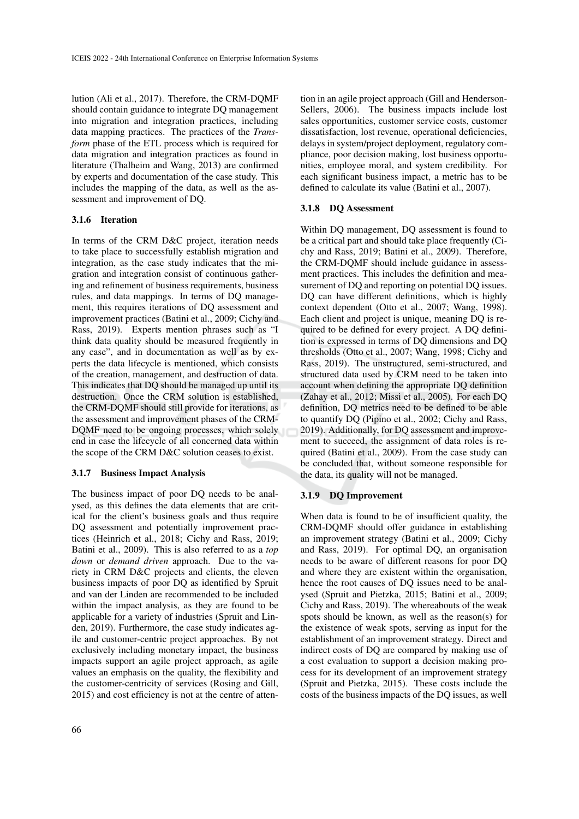lution (Ali et al., 2017). Therefore, the CRM-DQMF should contain guidance to integrate DQ management into migration and integration practices, including data mapping practices. The practices of the *Transform* phase of the ETL process which is required for data migration and integration practices as found in literature (Thalheim and Wang, 2013) are confirmed by experts and documentation of the case study. This includes the mapping of the data, as well as the assessment and improvement of DQ.

## 3.1.6 Iteration

In terms of the CRM D&C project, iteration needs to take place to successfully establish migration and integration, as the case study indicates that the migration and integration consist of continuous gathering and refinement of business requirements, business rules, and data mappings. In terms of DQ management, this requires iterations of DQ assessment and improvement practices (Batini et al., 2009; Cichy and Rass, 2019). Experts mention phrases such as "I think data quality should be measured frequently in any case", and in documentation as well as by experts the data lifecycle is mentioned, which consists of the creation, management, and destruction of data. This indicates that DQ should be managed up until its destruction. Once the CRM solution is established, the CRM-DQMF should still provide for iterations, as the assessment and improvement phases of the CRM-DQMF need to be ongoing processes, which solely end in case the lifecycle of all concerned data within the scope of the CRM D&C solution ceases to exist.

### 3.1.7 Business Impact Analysis

The business impact of poor DQ needs to be analysed, as this defines the data elements that are critical for the client's business goals and thus require DQ assessment and potentially improvement practices (Heinrich et al., 2018; Cichy and Rass, 2019; Batini et al., 2009). This is also referred to as a *top down* or *demand driven* approach. Due to the variety in CRM D&C projects and clients, the eleven business impacts of poor DQ as identified by Spruit and van der Linden are recommended to be included within the impact analysis, as they are found to be applicable for a variety of industries (Spruit and Linden, 2019). Furthermore, the case study indicates agile and customer-centric project approaches. By not exclusively including monetary impact, the business impacts support an agile project approach, as agile values an emphasis on the quality, the flexibility and the customer-centricity of services (Rosing and Gill, 2015) and cost efficiency is not at the centre of atten-

tion in an agile project approach (Gill and Henderson-Sellers, 2006). The business impacts include lost sales opportunities, customer service costs, customer dissatisfaction, lost revenue, operational deficiencies, delays in system/project deployment, regulatory compliance, poor decision making, lost business opportunities, employee moral, and system credibility. For each significant business impact, a metric has to be defined to calculate its value (Batini et al., 2007).

### 3.1.8 DQ Assessment

Within DQ management, DQ assessment is found to be a critical part and should take place frequently (Cichy and Rass, 2019; Batini et al., 2009). Therefore, the CRM-DQMF should include guidance in assessment practices. This includes the definition and measurement of DQ and reporting on potential DQ issues. DQ can have different definitions, which is highly context dependent (Otto et al., 2007; Wang, 1998). Each client and project is unique, meaning DQ is required to be defined for every project. A DQ definition is expressed in terms of DQ dimensions and DQ thresholds (Otto et al., 2007; Wang, 1998; Cichy and Rass, 2019). The unstructured, semi-structured, and structured data used by CRM need to be taken into account when defining the appropriate DQ definition (Zahay et al., 2012; Missi et al., 2005). For each DQ definition, DQ metrics need to be defined to be able to quantify DQ (Pipino et al., 2002; Cichy and Rass, 2019). Additionally, for DQ assessment and improvement to succeed, the assignment of data roles is required (Batini et al., 2009). From the case study can be concluded that, without someone responsible for the data, its quality will not be managed.

### 3.1.9 DQ Improvement

When data is found to be of insufficient quality, the CRM-DQMF should offer guidance in establishing an improvement strategy (Batini et al., 2009; Cichy and Rass, 2019). For optimal DQ, an organisation needs to be aware of different reasons for poor DQ and where they are existent within the organisation, hence the root causes of DQ issues need to be analysed (Spruit and Pietzka, 2015; Batini et al., 2009; Cichy and Rass, 2019). The whereabouts of the weak spots should be known, as well as the reason(s) for the existence of weak spots, serving as input for the establishment of an improvement strategy. Direct and indirect costs of DQ are compared by making use of a cost evaluation to support a decision making process for its development of an improvement strategy (Spruit and Pietzka, 2015). These costs include the costs of the business impacts of the DQ issues, as well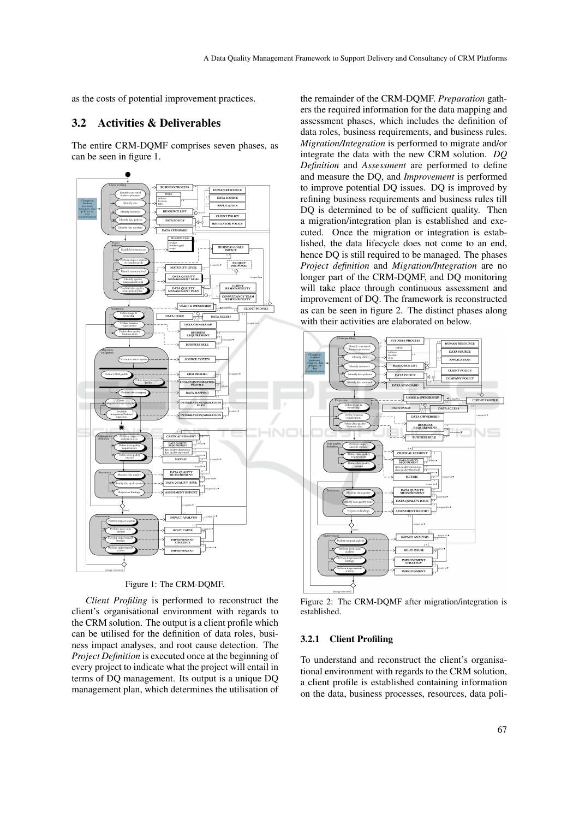as the costs of potential improvement practices.

## 3.2 Activities & Deliverables

The entire CRM-DQMF comprises seven phases, as can be seen in figure 1.



Figure 1: The CRM-DQMF.

*Client Profiling* is performed to reconstruct the client's organisational environment with regards to the CRM solution. The output is a client profile which can be utilised for the definition of data roles, business impact analyses, and root cause detection. The *Project Definition* is executed once at the beginning of every project to indicate what the project will entail in terms of DQ management. Its output is a unique DQ management plan, which determines the utilisation of

the remainder of the CRM-DQMF. *Preparation* gathers the required information for the data mapping and assessment phases, which includes the definition of data roles, business requirements, and business rules. *Migration/Integration* is performed to migrate and/or integrate the data with the new CRM solution. *DQ Definition* and *Assessment* are performed to define and measure the DQ, and *Improvement* is performed to improve potential DQ issues. DQ is improved by refining business requirements and business rules till DO is determined to be of sufficient quality. Then a migration/integration plan is established and executed. Once the migration or integration is established, the data lifecycle does not come to an end, hence DQ is still required to be managed. The phases *Project definition* and *Migration/Integration* are no longer part of the CRM-DQMF, and DQ monitoring will take place through continuous assessment and improvement of DQ. The framework is reconstructed as can be seen in figure 2. The distinct phases along with their activities are elaborated on below.



Figure 2: The CRM-DQMF after migration/integration is established.

#### 3.2.1 Client Profiling

To understand and reconstruct the client's organisational environment with regards to the CRM solution, a client profile is established containing information on the data, business processes, resources, data poli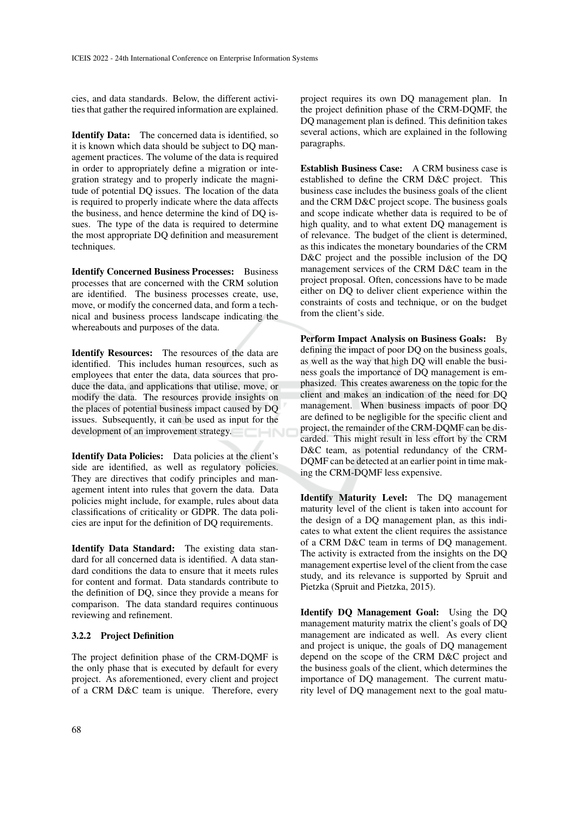cies, and data standards. Below, the different activities that gather the required information are explained.

Identify Data: The concerned data is identified, so it is known which data should be subject to DQ management practices. The volume of the data is required in order to appropriately define a migration or integration strategy and to properly indicate the magnitude of potential DQ issues. The location of the data is required to properly indicate where the data affects the business, and hence determine the kind of DQ issues. The type of the data is required to determine the most appropriate DQ definition and measurement techniques.

Identify Concerned Business Processes: Business processes that are concerned with the CRM solution are identified. The business processes create, use, move, or modify the concerned data, and form a technical and business process landscape indicating the whereabouts and purposes of the data.

Identify Resources: The resources of the data are identified. This includes human resources, such as employees that enter the data, data sources that produce the data, and applications that utilise, move, or modify the data. The resources provide insights on the places of potential business impact caused by DQ issues. Subsequently, it can be used as input for the development of an improvement strategy.

Identify Data Policies: Data policies at the client's side are identified, as well as regulatory policies. They are directives that codify principles and management intent into rules that govern the data. Data policies might include, for example, rules about data classifications of criticality or GDPR. The data policies are input for the definition of DQ requirements.

Identify Data Standard: The existing data standard for all concerned data is identified. A data standard conditions the data to ensure that it meets rules for content and format. Data standards contribute to the definition of DQ, since they provide a means for comparison. The data standard requires continuous reviewing and refinement.

### 3.2.2 Project Definition

The project definition phase of the CRM-DQMF is the only phase that is executed by default for every project. As aforementioned, every client and project of a CRM D&C team is unique. Therefore, every project requires its own DQ management plan. In the project definition phase of the CRM-DQMF, the DQ management plan is defined. This definition takes several actions, which are explained in the following paragraphs.

Establish Business Case: A CRM business case is established to define the CRM D&C project. This business case includes the business goals of the client and the CRM D&C project scope. The business goals and scope indicate whether data is required to be of high quality, and to what extent DQ management is of relevance. The budget of the client is determined, as this indicates the monetary boundaries of the CRM D&C project and the possible inclusion of the DQ management services of the CRM D&C team in the project proposal. Often, concessions have to be made either on DQ to deliver client experience within the constraints of costs and technique, or on the budget from the client's side.

Perform Impact Analysis on Business Goals: By defining the impact of poor DQ on the business goals, as well as the way that high DQ will enable the business goals the importance of DQ management is emphasized. This creates awareness on the topic for the client and makes an indication of the need for DQ management. When business impacts of poor DQ are defined to be negligible for the specific client and project, the remainder of the CRM-DQMF can be discarded. This might result in less effort by the CRM D&C team, as potential redundancy of the CRM-DQMF can be detected at an earlier point in time making the CRM-DQMF less expensive.

Identify Maturity Level: The DQ management maturity level of the client is taken into account for the design of a DQ management plan, as this indicates to what extent the client requires the assistance of a CRM D&C team in terms of DQ management. The activity is extracted from the insights on the DQ management expertise level of the client from the case study, and its relevance is supported by Spruit and Pietzka (Spruit and Pietzka, 2015).

Identify DQ Management Goal: Using the DQ management maturity matrix the client's goals of DQ management are indicated as well. As every client and project is unique, the goals of DQ management depend on the scope of the CRM D&C project and the business goals of the client, which determines the importance of DQ management. The current maturity level of DQ management next to the goal matu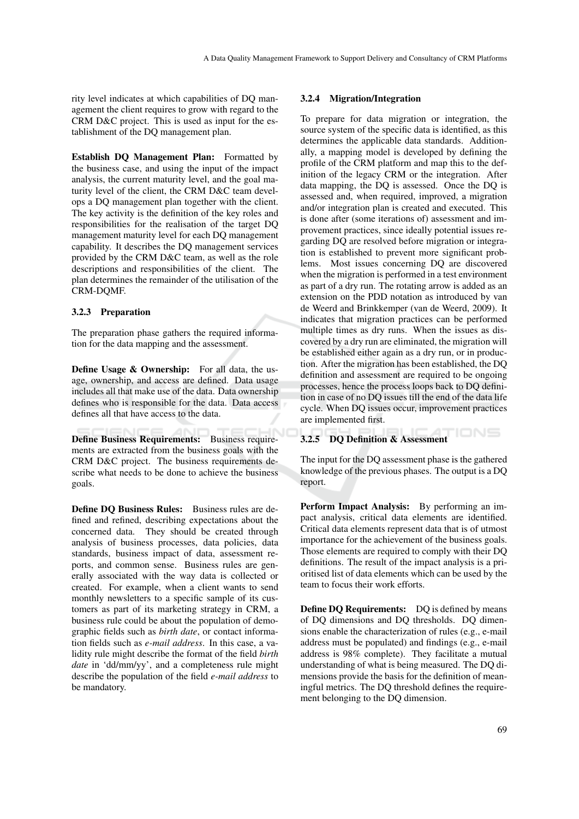rity level indicates at which capabilities of DQ management the client requires to grow with regard to the CRM D&C project. This is used as input for the establishment of the DQ management plan.

Establish DQ Management Plan: Formatted by the business case, and using the input of the impact analysis, the current maturity level, and the goal maturity level of the client, the CRM D&C team develops a DQ management plan together with the client. The key activity is the definition of the key roles and responsibilities for the realisation of the target DQ management maturity level for each DQ management capability. It describes the DQ management services provided by the CRM D&C team, as well as the role descriptions and responsibilities of the client. The plan determines the remainder of the utilisation of the CRM-DQMF.

## 3.2.3 Preparation

The preparation phase gathers the required information for the data mapping and the assessment.

Define Usage & Ownership: For all data, the usage, ownership, and access are defined. Data usage includes all that make use of the data. Data ownership defines who is responsible for the data. Data access defines all that have access to the data.

Define Business Requirements: Business requirements are extracted from the business goals with the CRM D&C project. The business requirements describe what needs to be done to achieve the business goals.

Define DQ Business Rules: Business rules are defined and refined, describing expectations about the concerned data. They should be created through analysis of business processes, data policies, data standards, business impact of data, assessment reports, and common sense. Business rules are generally associated with the way data is collected or created. For example, when a client wants to send monthly newsletters to a specific sample of its customers as part of its marketing strategy in CRM, a business rule could be about the population of demographic fields such as *birth date*, or contact information fields such as *e-mail address*. In this case, a validity rule might describe the format of the field *birth date* in 'dd/mm/yy', and a completeness rule might describe the population of the field *e-mail address* to be mandatory.

### 3.2.4 Migration/Integration

To prepare for data migration or integration, the source system of the specific data is identified, as this determines the applicable data standards. Additionally, a mapping model is developed by defining the profile of the CRM platform and map this to the definition of the legacy CRM or the integration. After data mapping, the DQ is assessed. Once the DQ is assessed and, when required, improved, a migration and/or integration plan is created and executed. This is done after (some iterations of) assessment and improvement practices, since ideally potential issues regarding DQ are resolved before migration or integration is established to prevent more significant problems. Most issues concerning DQ are discovered when the migration is performed in a test environment as part of a dry run. The rotating arrow is added as an extension on the PDD notation as introduced by van de Weerd and Brinkkemper (van de Weerd, 2009). It indicates that migration practices can be performed multiple times as dry runs. When the issues as discovered by a dry run are eliminated, the migration will be established either again as a dry run, or in production. After the migration has been established, the DQ definition and assessment are required to be ongoing processes, hence the process loops back to DQ definition in case of no DQ issues till the end of the data life cycle. When DQ issues occur, improvement practices are implemented first.

### 3.2.5 DQ Definition & Assessment

The input for the DQ assessment phase is the gathered knowledge of the previous phases. The output is a DQ report.

'IONS

Perform Impact Analysis: By performing an impact analysis, critical data elements are identified. Critical data elements represent data that is of utmost importance for the achievement of the business goals. Those elements are required to comply with their DQ definitions. The result of the impact analysis is a prioritised list of data elements which can be used by the team to focus their work efforts.

Define DQ Requirements: DQ is defined by means of DQ dimensions and DQ thresholds. DQ dimensions enable the characterization of rules (e.g., e-mail address must be populated) and findings (e.g., e-mail address is 98% complete). They facilitate a mutual understanding of what is being measured. The DQ dimensions provide the basis for the definition of meaningful metrics. The DQ threshold defines the requirement belonging to the DQ dimension.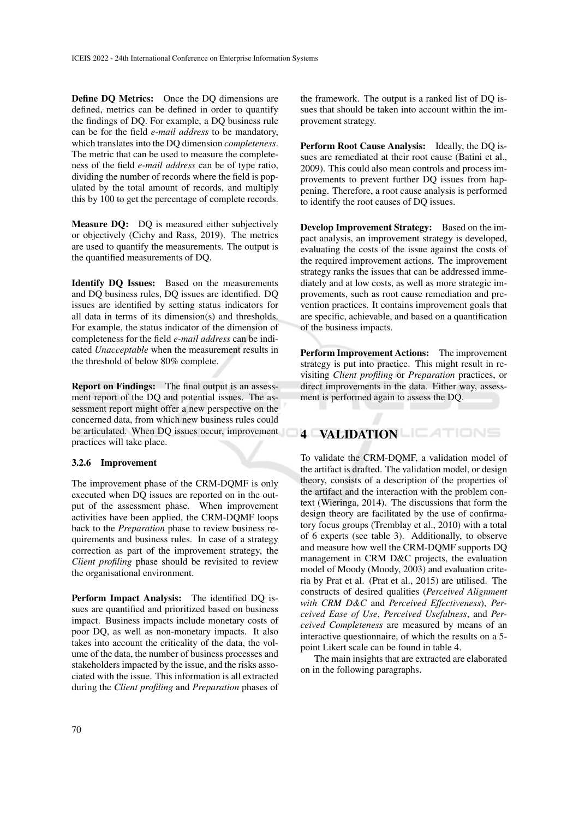Define DQ Metrics: Once the DQ dimensions are defined, metrics can be defined in order to quantify the findings of DQ. For example, a DQ business rule can be for the field *e-mail address* to be mandatory, which translates into the DQ dimension *completeness*. The metric that can be used to measure the completeness of the field *e-mail address* can be of type ratio, dividing the number of records where the field is populated by the total amount of records, and multiply this by 100 to get the percentage of complete records.

Measure DQ: DQ is measured either subjectively or objectively (Cichy and Rass, 2019). The metrics are used to quantify the measurements. The output is the quantified measurements of DQ.

Identify DQ Issues: Based on the measurements and DQ business rules, DQ issues are identified. DQ issues are identified by setting status indicators for all data in terms of its dimension(s) and thresholds. For example, the status indicator of the dimension of completeness for the field *e-mail address* can be indicated *Unacceptable* when the measurement results in the threshold of below 80% complete.

Report on Findings: The final output is an assessment report of the DQ and potential issues. The assessment report might offer a new perspective on the concerned data, from which new business rules could be articulated. When DQ issues occur, improvement practices will take place.

### 3.2.6 Improvement

The improvement phase of the CRM-DQMF is only executed when DQ issues are reported on in the output of the assessment phase. When improvement activities have been applied, the CRM-DQMF loops back to the *Preparation* phase to review business requirements and business rules. In case of a strategy correction as part of the improvement strategy, the *Client profiling* phase should be revisited to review the organisational environment.

Perform Impact Analysis: The identified DQ issues are quantified and prioritized based on business impact. Business impacts include monetary costs of poor DQ, as well as non-monetary impacts. It also takes into account the criticality of the data, the volume of the data, the number of business processes and stakeholders impacted by the issue, and the risks associated with the issue. This information is all extracted during the *Client profiling* and *Preparation* phases of

the framework. The output is a ranked list of DQ issues that should be taken into account within the improvement strategy.

Perform Root Cause Analysis: Ideally, the DQ issues are remediated at their root cause (Batini et al., 2009). This could also mean controls and process improvements to prevent further DQ issues from happening. Therefore, a root cause analysis is performed to identify the root causes of DQ issues.

Develop Improvement Strategy: Based on the impact analysis, an improvement strategy is developed, evaluating the costs of the issue against the costs of the required improvement actions. The improvement strategy ranks the issues that can be addressed immediately and at low costs, as well as more strategic improvements, such as root cause remediation and prevention practices. It contains improvement goals that are specific, achievable, and based on a quantification of the business impacts.

Perform Improvement Actions: The improvement strategy is put into practice. This might result in revisiting *Client profiling* or *Preparation* practices, or direct improvements in the data. Either way, assessment is performed again to assess the DQ.

## 4 VALIDATION LIEATIONS

To validate the CRM-DQMF, a validation model of the artifact is drafted. The validation model, or design theory, consists of a description of the properties of the artifact and the interaction with the problem context (Wieringa, 2014). The discussions that form the design theory are facilitated by the use of confirmatory focus groups (Tremblay et al., 2010) with a total of 6 experts (see table 3). Additionally, to observe and measure how well the CRM-DQMF supports DQ management in CRM D&C projects, the evaluation model of Moody (Moody, 2003) and evaluation criteria by Prat et al. (Prat et al., 2015) are utilised. The constructs of desired qualities (*Perceived Alignment with CRM D&C* and *Perceived Effectiveness*), *Perceived Ease of Use*, *Perceived Usefulness*, and *Perceived Completeness* are measured by means of an interactive questionnaire, of which the results on a 5 point Likert scale can be found in table 4.

The main insights that are extracted are elaborated on in the following paragraphs.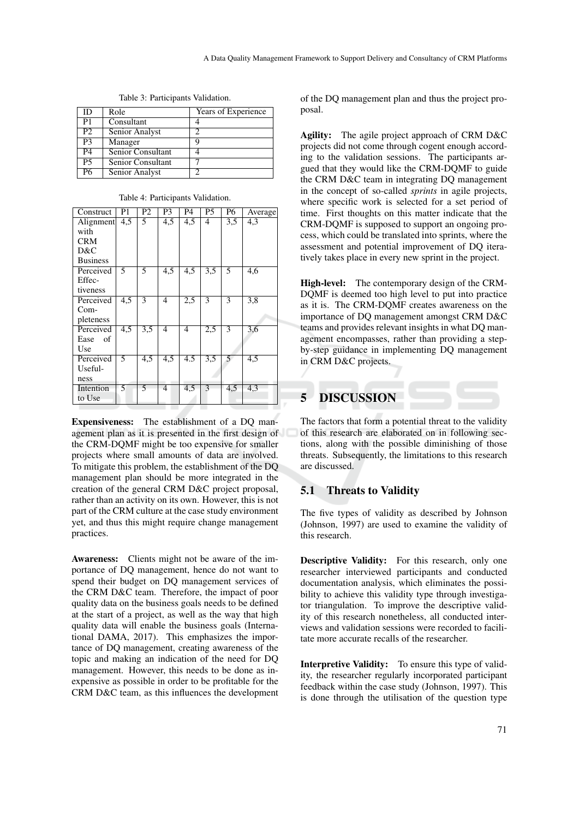| ID              | Role              | Years of Experience |
|-----------------|-------------------|---------------------|
| P1              | Consultant        |                     |
| P2              | Senior Analyst    |                     |
| P3              | Manager           | q                   |
| <b>P4</b>       | Senior Consultant |                     |
| $\overline{P5}$ | Senior Consultant |                     |
| Р6              | Senior Analyst    | ာ                   |

Table 3: Participants Validation.

| Table 4: Participants Validation. |  |
|-----------------------------------|--|
|-----------------------------------|--|

| Construct       | P1               | P2             | P3               | P4               | P <sub>5</sub>   | P6             | Average |
|-----------------|------------------|----------------|------------------|------------------|------------------|----------------|---------|
| Alignment       | 4,5              | 5              | 4.5              | 4,5              | $\overline{4}$   | 3,5            | 4,3     |
| with            |                  |                |                  |                  |                  |                |         |
| <b>CRM</b>      |                  |                |                  |                  |                  |                |         |
| D&C             |                  |                |                  |                  |                  |                |         |
| <b>Business</b> |                  |                |                  |                  |                  |                |         |
| Perceived       | 5                | 5              | $\overline{4,5}$ | 4,5              | $\overline{3.5}$ | 5              | 4,6     |
| Effec-          |                  |                |                  |                  |                  |                |         |
| tiveness        |                  |                |                  |                  |                  |                |         |
| Perceived       | $\overline{4,5}$ | $\overline{3}$ | $\overline{4}$   | 2,5              | $\overline{3}$   | $\overline{3}$ | 3,8     |
| $Com-$          |                  |                |                  |                  |                  |                |         |
| pleteness       |                  |                |                  |                  |                  |                |         |
| Perceived       | $\overline{4,5}$ | 3,5            | $\overline{4}$   | $\overline{4}$   | 2,5              | 3              | 3,6     |
| Ease<br>- of    |                  |                |                  |                  |                  |                |         |
| Use             |                  |                |                  |                  |                  |                |         |
| Perceived       | 5                | 4,5            | 4,5              | $\overline{4.5}$ | 3,5              | 5              | 4,5     |
| Useful-         |                  |                |                  |                  |                  |                |         |
| ness            |                  |                |                  |                  |                  |                |         |
| Intention       | 5                | 5              | 4                | 4,5              | 3                | 4,5            | 4,3     |
| to Use          |                  |                |                  |                  |                  |                |         |

Expensiveness: The establishment of a DQ management plan as it is presented in the first design of the CRM-DQMF might be too expensive for smaller projects where small amounts of data are involved. To mitigate this problem, the establishment of the DQ management plan should be more integrated in the creation of the general CRM D&C project proposal, rather than an activity on its own. However, this is not part of the CRM culture at the case study environment yet, and thus this might require change management practices.

Awareness: Clients might not be aware of the importance of DQ management, hence do not want to spend their budget on DQ management services of the CRM D&C team. Therefore, the impact of poor quality data on the business goals needs to be defined at the start of a project, as well as the way that high quality data will enable the business goals (International DAMA, 2017). This emphasizes the importance of DQ management, creating awareness of the topic and making an indication of the need for DQ management. However, this needs to be done as inexpensive as possible in order to be profitable for the CRM D&C team, as this influences the development of the DQ management plan and thus the project proposal.

Agility: The agile project approach of CRM D&C projects did not come through cogent enough according to the validation sessions. The participants argued that they would like the CRM-DQMF to guide the CRM D&C team in integrating DQ management in the concept of so-called *sprints* in agile projects, where specific work is selected for a set period of time. First thoughts on this matter indicate that the CRM-DQMF is supposed to support an ongoing process, which could be translated into sprints, where the assessment and potential improvement of DQ iteratively takes place in every new sprint in the project.

High-level: The contemporary design of the CRM-DQMF is deemed too high level to put into practice as it is. The CRM-DQMF creates awareness on the importance of DQ management amongst CRM D&C teams and provides relevant insights in what DQ management encompasses, rather than providing a stepby-step guidance in implementing DQ management in CRM D&C projects.

# 5 DISCUSSION

The factors that form a potential threat to the validity of this research are elaborated on in following sections, along with the possible diminishing of those threats. Subsequently, the limitations to this research are discussed.

## 5.1 Threats to Validity

The five types of validity as described by Johnson (Johnson, 1997) are used to examine the validity of this research.

Descriptive Validity: For this research, only one researcher interviewed participants and conducted documentation analysis, which eliminates the possibility to achieve this validity type through investigator triangulation. To improve the descriptive validity of this research nonetheless, all conducted interviews and validation sessions were recorded to facilitate more accurate recalls of the researcher.

Interpretive Validity: To ensure this type of validity, the researcher regularly incorporated participant feedback within the case study (Johnson, 1997). This is done through the utilisation of the question type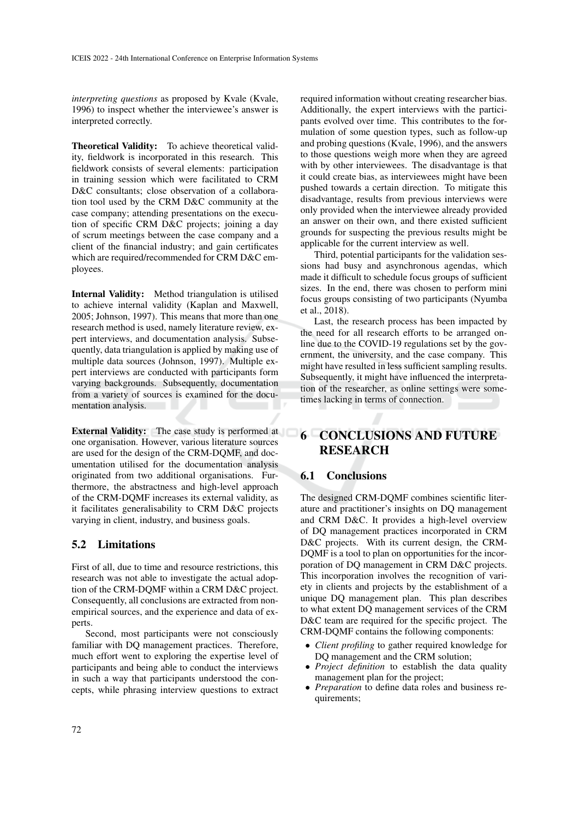*interpreting questions* as proposed by Kvale (Kvale, 1996) to inspect whether the interviewee's answer is interpreted correctly.

Theoretical Validity: To achieve theoretical validity, fieldwork is incorporated in this research. This fieldwork consists of several elements: participation in training session which were facilitated to CRM D&C consultants; close observation of a collaboration tool used by the CRM D&C community at the case company; attending presentations on the execution of specific CRM D&C projects; joining a day of scrum meetings between the case company and a client of the financial industry; and gain certificates which are required/recommended for CRM D&C employees.

Internal Validity: Method triangulation is utilised to achieve internal validity (Kaplan and Maxwell, 2005; Johnson, 1997). This means that more than one research method is used, namely literature review, expert interviews, and documentation analysis. Subsequently, data triangulation is applied by making use of multiple data sources (Johnson, 1997). Multiple expert interviews are conducted with participants form varying backgrounds. Subsequently, documentation from a variety of sources is examined for the documentation analysis.

External Validity: The case study is performed at one organisation. However, various literature sources are used for the design of the CRM-DQMF, and documentation utilised for the documentation analysis originated from two additional organisations. Furthermore, the abstractness and high-level approach of the CRM-DQMF increases its external validity, as it facilitates generalisability to CRM D&C projects varying in client, industry, and business goals.

## 5.2 Limitations

First of all, due to time and resource restrictions, this research was not able to investigate the actual adoption of the CRM-DQMF within a CRM D&C project. Consequently, all conclusions are extracted from nonempirical sources, and the experience and data of experts.

Second, most participants were not consciously familiar with DQ management practices. Therefore, much effort went to exploring the expertise level of participants and being able to conduct the interviews in such a way that participants understood the concepts, while phrasing interview questions to extract

required information without creating researcher bias. Additionally, the expert interviews with the participants evolved over time. This contributes to the formulation of some question types, such as follow-up and probing questions (Kvale, 1996), and the answers to those questions weigh more when they are agreed with by other interviewees. The disadvantage is that it could create bias, as interviewees might have been pushed towards a certain direction. To mitigate this disadvantage, results from previous interviews were only provided when the interviewee already provided an answer on their own, and there existed sufficient grounds for suspecting the previous results might be applicable for the current interview as well.

Third, potential participants for the validation sessions had busy and asynchronous agendas, which made it difficult to schedule focus groups of sufficient sizes. In the end, there was chosen to perform mini focus groups consisting of two participants (Nyumba et al., 2018).

Last, the research process has been impacted by the need for all research efforts to be arranged online due to the COVID-19 regulations set by the government, the university, and the case company. This might have resulted in less sufficient sampling results. Subsequently, it might have influenced the interpretation of the researcher, as online settings were sometimes lacking in terms of connection.

# 6 CONCLUSIONS AND FUTURE RESEARCH

## 6.1 Conclusions

The designed CRM-DQMF combines scientific literature and practitioner's insights on DQ management and CRM D&C. It provides a high-level overview of DQ management practices incorporated in CRM D&C projects. With its current design, the CRM-DQMF is a tool to plan on opportunities for the incorporation of DQ management in CRM D&C projects. This incorporation involves the recognition of variety in clients and projects by the establishment of a unique DQ management plan. This plan describes to what extent DQ management services of the CRM D&C team are required for the specific project. The CRM-DQMF contains the following components:

- *Client profiling* to gather required knowledge for DQ management and the CRM solution;
- *Project definition* to establish the data quality management plan for the project;
- *Preparation* to define data roles and business requirements;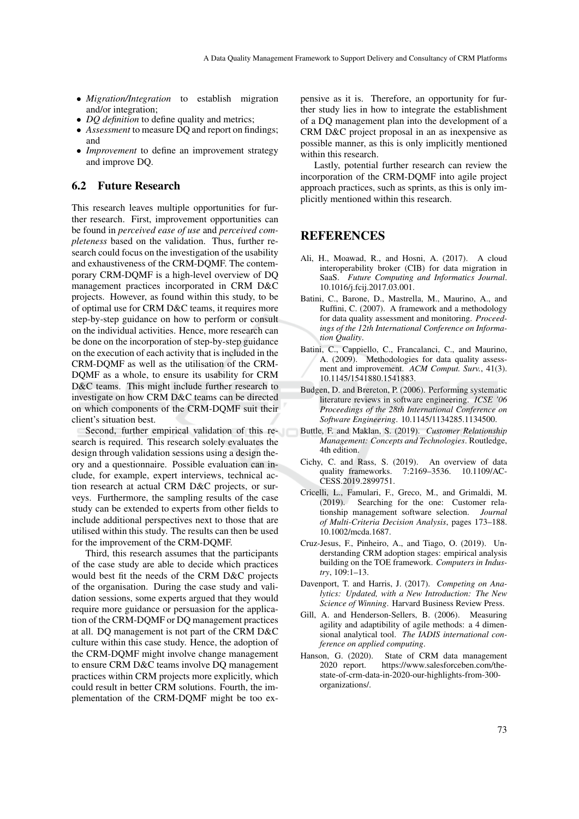- *Migration/Integration* to establish migration and/or integration;
- *DQ definition* to define quality and metrics;
- *Assessment* to measure DQ and report on findings; and
- *Improvement* to define an improvement strategy and improve DQ.

## 6.2 Future Research

This research leaves multiple opportunities for further research. First, improvement opportunities can be found in *perceived ease of use* and *perceived completeness* based on the validation. Thus, further research could focus on the investigation of the usability and exhaustiveness of the CRM-DQMF. The contemporary CRM-DQMF is a high-level overview of DQ management practices incorporated in CRM D&C projects. However, as found within this study, to be of optimal use for CRM D&C teams, it requires more step-by-step guidance on how to perform or consult on the individual activities. Hence, more research can be done on the incorporation of step-by-step guidance on the execution of each activity that is included in the CRM-DQMF as well as the utilisation of the CRM-DQMF as a whole, to ensure its usability for CRM D&C teams. This might include further research to investigate on how CRM D&C teams can be directed on which components of the CRM-DQMF suit their client's situation best.

Second, further empirical validation of this research is required. This research solely evaluates the design through validation sessions using a design theory and a questionnaire. Possible evaluation can include, for example, expert interviews, technical action research at actual CRM D&C projects, or surveys. Furthermore, the sampling results of the case study can be extended to experts from other fields to include additional perspectives next to those that are utilised within this study. The results can then be used for the improvement of the CRM-DQMF.

Third, this research assumes that the participants of the case study are able to decide which practices would best fit the needs of the CRM D&C projects of the organisation. During the case study and validation sessions, some experts argued that they would require more guidance or persuasion for the application of the CRM-DQMF or DQ management practices at all. DQ management is not part of the CRM D&C culture within this case study. Hence, the adoption of the CRM-DQMF might involve change management to ensure CRM D&C teams involve DQ management practices within CRM projects more explicitly, which could result in better CRM solutions. Fourth, the implementation of the CRM-DQMF might be too expensive as it is. Therefore, an opportunity for further study lies in how to integrate the establishment of a DQ management plan into the development of a CRM D&C project proposal in an as inexpensive as possible manner, as this is only implicitly mentioned within this research.

Lastly, potential further research can review the incorporation of the CRM-DQMF into agile project approach practices, such as sprints, as this is only implicitly mentioned within this research.

## REFERENCES

- Ali, H., Moawad, R., and Hosni, A. (2017). A cloud interoperability broker (CIB) for data migration in SaaS. *Future Computing and Informatics Journal*. 10.1016/j.fcij.2017.03.001.
- Batini, C., Barone, D., Mastrella, M., Maurino, A., and Ruffini, C. (2007). A framework and a methodology for data quality assessment and monitoring. *Proceedings of the 12th International Conference on Information Quality*.
- Batini, C., Cappiello, C., Francalanci, C., and Maurino, A. (2009). Methodologies for data quality assessment and improvement. *ACM Comput. Surv.*, 41(3). 10.1145/1541880.1541883.
- Budgen, D. and Brereton, P. (2006). Performing systematic literature reviews in software engineering. *ICSE '06 Proceedings of the 28th International Conference on Software Engineering*. 10.1145/1134285.1134500.
- Buttle, F. and Maklan, S. (2019). *Customer Relationship Management: Concepts and Technologies*. Routledge, 4th edition.
- Cichy, C. and Rass, S. (2019). An overview of data quality frameworks. 7:2169–3536. 10.1109/AC-CESS.2019.2899751.
- Cricelli, L., Famulari, F., Greco, M., and Grimaldi, M. (2019). Searching for the one: Customer relationship management software selection. *Journal of Multi-Criteria Decision Analysis*, pages 173–188. 10.1002/mcda.1687.
- Cruz-Jesus, F., Pinheiro, A., and Tiago, O. (2019). Understanding CRM adoption stages: empirical analysis building on the TOE framework. *Computers in Industry*, 109:1–13.
- Davenport, T. and Harris, J. (2017). *Competing on Analytics: Updated, with a New Introduction: The New Science of Winning*. Harvard Business Review Press.
- Gill, A. and Henderson-Sellers, B. (2006). Measuring agility and adaptibility of agile methods: a 4 dimensional analytical tool. *The IADIS international conference on applied computing*.
- Hanson, G. (2020). State of CRM data management 2020 report. https://www.salesforceben.com/thestate-of-crm-data-in-2020-our-highlights-from-300 organizations/.